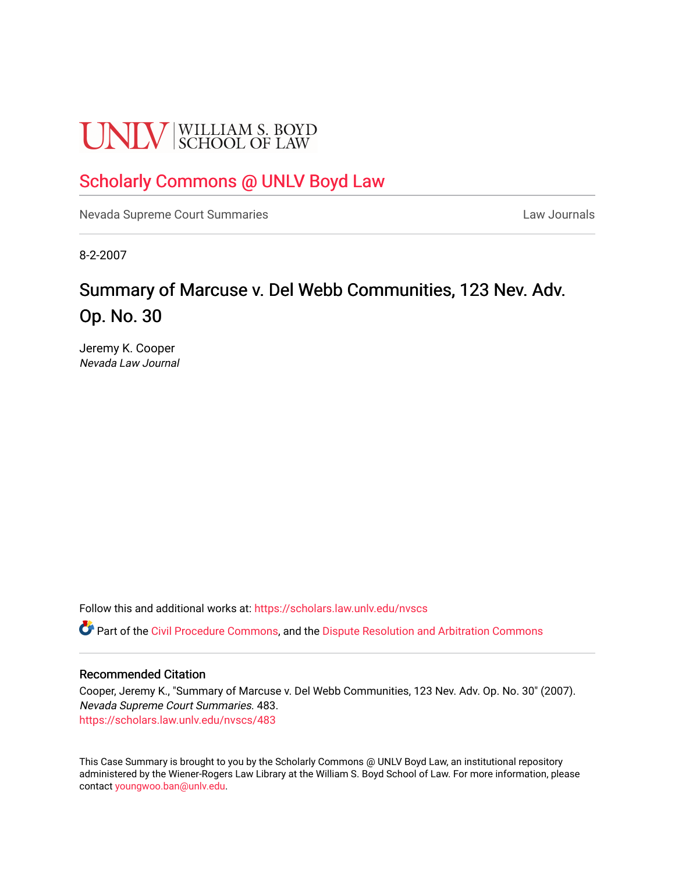# **UNLV** SCHOOL OF LAW

## [Scholarly Commons @ UNLV Boyd Law](https://scholars.law.unlv.edu/)

[Nevada Supreme Court Summaries](https://scholars.law.unlv.edu/nvscs) **Law Journals** Law Journals

8-2-2007

# Summary of Marcuse v. Del Webb Communities, 123 Nev. Adv. Op. No. 30

Jeremy K. Cooper Nevada Law Journal

Follow this and additional works at: [https://scholars.law.unlv.edu/nvscs](https://scholars.law.unlv.edu/nvscs?utm_source=scholars.law.unlv.edu%2Fnvscs%2F483&utm_medium=PDF&utm_campaign=PDFCoverPages)

Part of the [Civil Procedure Commons,](http://network.bepress.com/hgg/discipline/584?utm_source=scholars.law.unlv.edu%2Fnvscs%2F483&utm_medium=PDF&utm_campaign=PDFCoverPages) and the Dispute Resolution and Arbitration Commons

#### Recommended Citation

Cooper, Jeremy K., "Summary of Marcuse v. Del Webb Communities, 123 Nev. Adv. Op. No. 30" (2007). Nevada Supreme Court Summaries. 483. [https://scholars.law.unlv.edu/nvscs/483](https://scholars.law.unlv.edu/nvscs/483?utm_source=scholars.law.unlv.edu%2Fnvscs%2F483&utm_medium=PDF&utm_campaign=PDFCoverPages)

This Case Summary is brought to you by the Scholarly Commons @ UNLV Boyd Law, an institutional repository administered by the Wiener-Rogers Law Library at the William S. Boyd School of Law. For more information, please contact [youngwoo.ban@unlv.edu](mailto:youngwoo.ban@unlv.edu).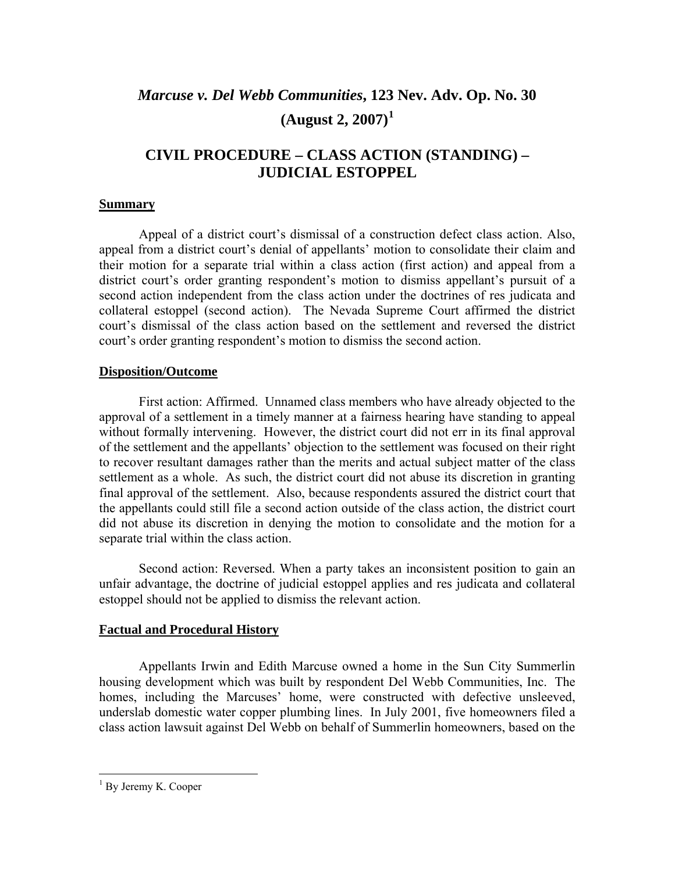### *Marcuse v. Del Webb Communities***, 123 Nev. Adv. Op. No. 30 (August 2, 2007)[1](#page-1-0)**

#### **CIVIL PROCEDURE – CLASS ACTION (STANDING) – JUDICIAL ESTOPPEL**

#### **Summary**

Appeal of a district court's dismissal of a construction defect class action. Also, appeal from a district court's denial of appellants' motion to consolidate their claim and their motion for a separate trial within a class action (first action) and appeal from a district court's order granting respondent's motion to dismiss appellant's pursuit of a second action independent from the class action under the doctrines of res judicata and collateral estoppel (second action). The Nevada Supreme Court affirmed the district court's dismissal of the class action based on the settlement and reversed the district court's order granting respondent's motion to dismiss the second action.

#### **Disposition/Outcome**

 First action: Affirmed. Unnamed class members who have already objected to the approval of a settlement in a timely manner at a fairness hearing have standing to appeal without formally intervening. However, the district court did not err in its final approval of the settlement and the appellants' objection to the settlement was focused on their right to recover resultant damages rather than the merits and actual subject matter of the class settlement as a whole. As such, the district court did not abuse its discretion in granting final approval of the settlement. Also, because respondents assured the district court that the appellants could still file a second action outside of the class action, the district court did not abuse its discretion in denying the motion to consolidate and the motion for a separate trial within the class action.

Second action: Reversed. When a party takes an inconsistent position to gain an unfair advantage, the doctrine of judicial estoppel applies and res judicata and collateral estoppel should not be applied to dismiss the relevant action.

#### **Factual and Procedural History**

 Appellants Irwin and Edith Marcuse owned a home in the Sun City Summerlin housing development which was built by respondent Del Webb Communities, Inc. The homes, including the Marcuses' home, were constructed with defective unsleeved, underslab domestic water copper plumbing lines. In July 2001, five homeowners filed a class action lawsuit against Del Webb on behalf of Summerlin homeowners, based on the

 $\overline{a}$ 

<span id="page-1-0"></span><sup>&</sup>lt;sup>1</sup> By Jeremy K. Cooper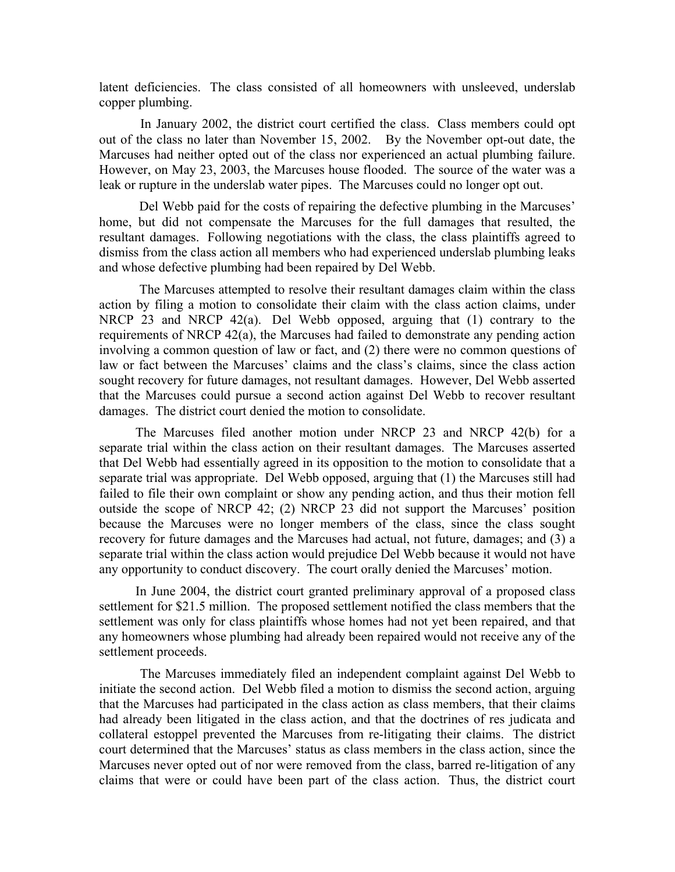latent deficiencies. The class consisted of all homeowners with unsleeved, underslab copper plumbing.

 In January 2002, the district court certified the class. Class members could opt out of the class no later than November 15, 2002. By the November opt-out date, the Marcuses had neither opted out of the class nor experienced an actual plumbing failure. However, on May 23, 2003, the Marcuses house flooded. The source of the water was a leak or rupture in the underslab water pipes. The Marcuses could no longer opt out.

 Del Webb paid for the costs of repairing the defective plumbing in the Marcuses' home, but did not compensate the Marcuses for the full damages that resulted, the resultant damages. Following negotiations with the class, the class plaintiffs agreed to dismiss from the class action all members who had experienced underslab plumbing leaks and whose defective plumbing had been repaired by Del Webb.

 The Marcuses attempted to resolve their resultant damages claim within the class action by filing a motion to consolidate their claim with the class action claims, under NRCP 23 and NRCP 42(a). Del Webb opposed, arguing that (1) contrary to the requirements of NRCP 42(a), the Marcuses had failed to demonstrate any pending action involving a common question of law or fact, and (2) there were no common questions of law or fact between the Marcuses' claims and the class's claims, since the class action sought recovery for future damages, not resultant damages. However, Del Webb asserted that the Marcuses could pursue a second action against Del Webb to recover resultant damages. The district court denied the motion to consolidate.

 The Marcuses filed another motion under NRCP 23 and NRCP 42(b) for a separate trial within the class action on their resultant damages. The Marcuses asserted that Del Webb had essentially agreed in its opposition to the motion to consolidate that a separate trial was appropriate. Del Webb opposed, arguing that (1) the Marcuses still had failed to file their own complaint or show any pending action, and thus their motion fell outside the scope of NRCP 42; (2) NRCP 23 did not support the Marcuses' position because the Marcuses were no longer members of the class, since the class sought recovery for future damages and the Marcuses had actual, not future, damages; and (3) a separate trial within the class action would prejudice Del Webb because it would not have any opportunity to conduct discovery. The court orally denied the Marcuses' motion.

 In June 2004, the district court granted preliminary approval of a proposed class settlement for \$21.5 million. The proposed settlement notified the class members that the settlement was only for class plaintiffs whose homes had not yet been repaired, and that any homeowners whose plumbing had already been repaired would not receive any of the settlement proceeds.

 The Marcuses immediately filed an independent complaint against Del Webb to initiate the second action. Del Webb filed a motion to dismiss the second action, arguing that the Marcuses had participated in the class action as class members, that their claims had already been litigated in the class action, and that the doctrines of res judicata and collateral estoppel prevented the Marcuses from re-litigating their claims. The district court determined that the Marcuses' status as class members in the class action, since the Marcuses never opted out of nor were removed from the class, barred re-litigation of any claims that were or could have been part of the class action. Thus, the district court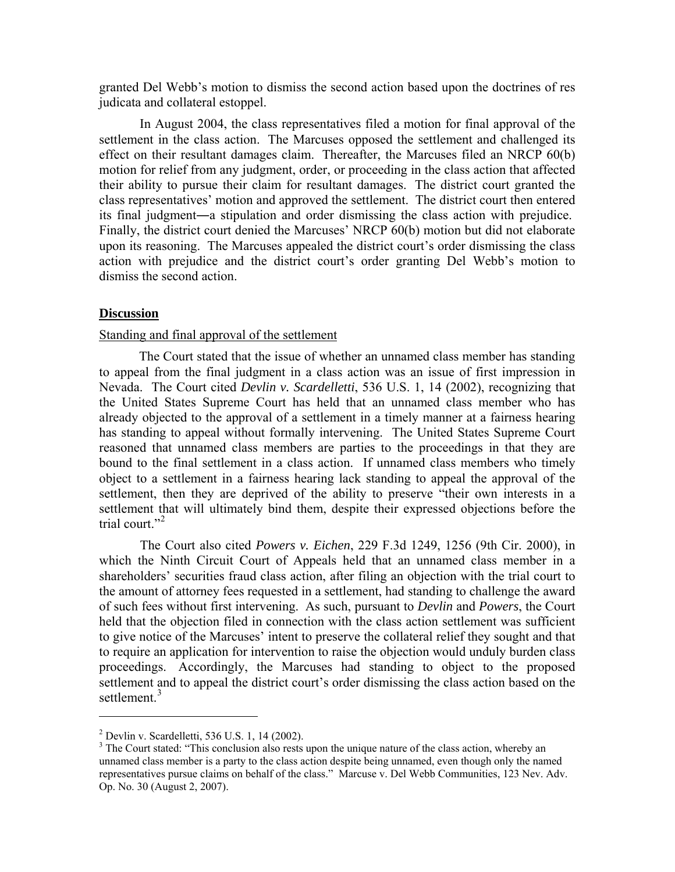granted Del Webb's motion to dismiss the second action based upon the doctrines of res judicata and collateral estoppel.

 In August 2004, the class representatives filed a motion for final approval of the settlement in the class action. The Marcuses opposed the settlement and challenged its effect on their resultant damages claim. Thereafter, the Marcuses filed an NRCP 60(b) motion for relief from any judgment, order, or proceeding in the class action that affected their ability to pursue their claim for resultant damages. The district court granted the class representatives' motion and approved the settlement. The district court then entered its final judgment―a stipulation and order dismissing the class action with prejudice. Finally, the district court denied the Marcuses' NRCP 60(b) motion but did not elaborate upon its reasoning. The Marcuses appealed the district court's order dismissing the class action with prejudice and the district court's order granting Del Webb's motion to dismiss the second action.

#### **Discussion**

#### Standing and final approval of the settlement

 The Court stated that the issue of whether an unnamed class member has standing to appeal from the final judgment in a class action was an issue of first impression in Nevada. The Court cited *Devlin v. Scardelletti*, 536 U.S. 1, 14 (2002), recognizing that the United States Supreme Court has held that an unnamed class member who has already objected to the approval of a settlement in a timely manner at a fairness hearing has standing to appeal without formally intervening. The United States Supreme Court reasoned that unnamed class members are parties to the proceedings in that they are bound to the final settlement in a class action. If unnamed class members who timely object to a settlement in a fairness hearing lack standing to appeal the approval of the settlement, then they are deprived of the ability to preserve "their own interests in a settlement that will ultimately bind them, despite their expressed objections before the trial court."<sup>[2](#page-3-0)</sup>

 The Court also cited *Powers v. Eichen*, 229 F.3d 1249, 1256 (9th Cir. 2000), in which the Ninth Circuit Court of Appeals held that an unnamed class member in a shareholders' securities fraud class action, after filing an objection with the trial court to the amount of attorney fees requested in a settlement, had standing to challenge the award of such fees without first intervening. As such, pursuant to *Devlin* and *Powers*, the Court held that the objection filed in connection with the class action settlement was sufficient to give notice of the Marcuses' intent to preserve the collateral relief they sought and that to require an application for intervention to raise the objection would unduly burden class proceedings. Accordingly, the Marcuses had standing to object to the proposed settlement and to appeal the district court's order dismissing the class action based on the settlement.<sup>[3](#page-3-1)</sup>

 $\overline{a}$ 

<span id="page-3-0"></span><sup>2</sup> Devlin v. Scardelletti, 536 U.S. 1, 14 (2002).

<span id="page-3-1"></span><sup>&</sup>lt;sup>3</sup> The Court stated: "This conclusion also rests upon the unique nature of the class action, whereby an unnamed class member is a party to the class action despite being unnamed, even though only the named representatives pursue claims on behalf of the class." Marcuse v. Del Webb Communities, 123 Nev. Adv. Op. No. 30 (August 2, 2007).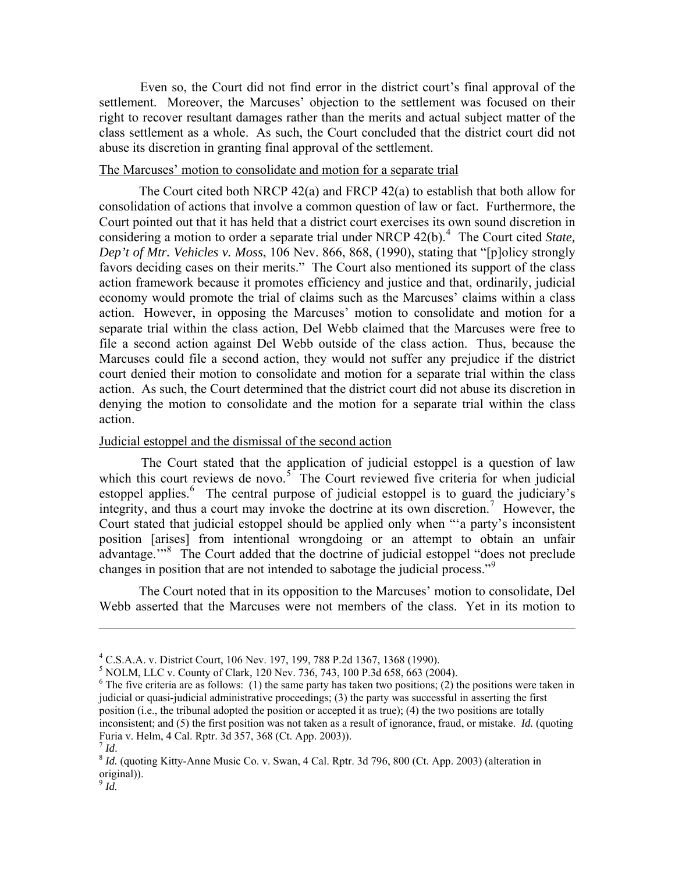Even so, the Court did not find error in the district court's final approval of the settlement. Moreover, the Marcuses' objection to the settlement was focused on their right to recover resultant damages rather than the merits and actual subject matter of the class settlement as a whole. As such, the Court concluded that the district court did not abuse its discretion in granting final approval of the settlement.

#### The Marcuses' motion to consolidate and motion for a separate trial

 The Court cited both NRCP 42(a) and FRCP 42(a) to establish that both allow for consolidation of actions that involve a common question of law or fact. Furthermore, the Court pointed out that it has held that a district court exercises its own sound discretion in considering a motion to order a separate trial under NRCP [4](#page-4-0)2(b).<sup>4</sup> The Court cited *State*, *Dep't of Mtr. Vehicles v. Moss*, 106 Nev. 866, 868, (1990), stating that "[p]olicy strongly favors deciding cases on their merits." The Court also mentioned its support of the class action framework because it promotes efficiency and justice and that, ordinarily, judicial economy would promote the trial of claims such as the Marcuses' claims within a class action. However, in opposing the Marcuses' motion to consolidate and motion for a separate trial within the class action, Del Webb claimed that the Marcuses were free to file a second action against Del Webb outside of the class action. Thus, because the Marcuses could file a second action, they would not suffer any prejudice if the district court denied their motion to consolidate and motion for a separate trial within the class action. As such, the Court determined that the district court did not abuse its discretion in denying the motion to consolidate and the motion for a separate trial within the class action.

#### Judicial estoppel and the dismissal of the second action

 The Court stated that the application of judicial estoppel is a question of law which this court reviews de novo.<sup>[5](#page-4-1)</sup> The Court reviewed five criteria for when judicial estoppel applies.<sup>[6](#page-4-2)</sup> The central purpose of judicial estoppel is to guard the judiciary's integrity, and thus a court may invoke the doctrine at its own discretion.<sup>[7](#page-4-3)</sup> However, the Court stated that judicial estoppel should be applied only when "'a party's inconsistent position [arises] from intentional wrongdoing or an attempt to obtain an unfair advantage."<sup>[8](#page-4-4)</sup> The Court added that the doctrine of judicial estoppel "does not preclude changes in position that are not intended to sabotage the judicial process."<sup>[9](#page-4-5)</sup>

 The Court noted that in its opposition to the Marcuses' motion to consolidate, Del Webb asserted that the Marcuses were not members of the class. Yet in its motion to

 $\overline{a}$ 

<span id="page-4-0"></span><sup>4</sup> C.S.A.A. v. District Court, 106 Nev. 197, 199, 788 P.2d 1367, 1368 (1990).

 $^5$  NOLM, LLC v. County of Clark, 120 Nev. 736, 743, 100 P.3d 658, 663 (2004).

<span id="page-4-2"></span><span id="page-4-1"></span> $6$  The five criteria are as follows: (1) the same party has taken two positions; (2) the positions were taken in judicial or quasi-judicial administrative proceedings; (3) the party was successful in asserting the first position (i.e., the tribunal adopted the position or accepted it as true); (4) the two positions are totally inconsistent; and (5) the first position was not taken as a result of ignorance, fraud, or mistake. *Id.* (quoting Furia v. Helm, 4 Cal. Rptr. 3d 357, 368 (Ct. App. 2003)).

<span id="page-4-4"></span><span id="page-4-3"></span><sup>&</sup>lt;sup>8</sup> *Id.* (quoting Kitty-Anne Music Co. v. Swan, 4 Cal. Rptr. 3d 796, 800 (Ct. App. 2003) (alteration in original)).

<span id="page-4-5"></span><sup>9</sup> *Id.*